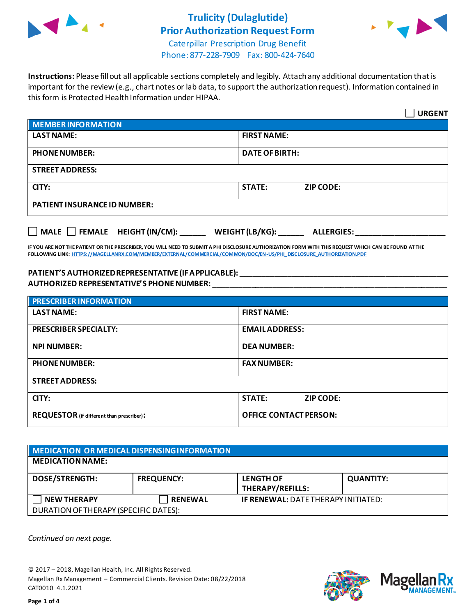



Caterpillar Prescription Drug Benefit Phone: 877-228-7909 Fax: 800-424-7640

**Instructions:** Please fill out all applicable sections completely and legibly. Attach any additional documentation that is important for the review (e.g., chart notes or lab data, to support the authorization request). Information contained in this form is Protected Health Information under HIPAA.

|                                     | <b>URGENT</b>                        |  |
|-------------------------------------|--------------------------------------|--|
| <b>MEMBER INFORMATION</b>           |                                      |  |
| <b>LAST NAME:</b>                   | <b>FIRST NAME:</b>                   |  |
| <b>PHONE NUMBER:</b>                | <b>DATE OF BIRTH:</b>                |  |
| <b>STREET ADDRESS:</b>              |                                      |  |
| CITY:                               | <b>STATE:</b><br><b>ZIP CODE:</b>    |  |
| <b>PATIENT INSURANCE ID NUMBER:</b> |                                      |  |
| MALE $\Box$ FEMALE HEIGHT (IN/CM):  | WEIGHT (LB/KG):<br><b>ALLERGIES:</b> |  |

**IF YOU ARE NOT THE PATIENT OR THE PRESCRIBER, YOU WILL NEED TO SUBMIT A PHI DISCLOSURE AUTHORIZATION FORM WITH THIS REQUEST WHICH CAN BE FOUND AT THE FOLLOWING LINK[: HTTPS://MAGELLANRX.COM/MEMBER/EXTERNAL/COMMERCIAL/COMMON/DOC/EN-US/PHI\\_DISCLOSURE\\_AUTHORIZATION.PDF](https://magellanrx.com/member/external/commercial/common/doc/en-us/PHI_Disclosure_Authorization.pdf)**

#### **PATIENT'S AUTHORIZED REPRESENTATIVE (IF APPLICABLE): \_\_\_\_\_\_\_\_\_\_\_\_\_\_\_\_\_\_\_\_\_\_\_\_\_\_\_\_\_\_\_\_\_\_\_\_\_\_\_\_\_\_\_\_\_\_\_\_\_ AUTHORIZED REPRESENTATIVE'S PHONE NUMBER:** \_\_\_\_\_\_\_\_\_\_\_\_\_\_\_\_\_\_\_\_\_\_\_\_\_\_\_\_\_\_\_\_\_\_\_\_\_\_\_\_\_\_\_\_\_\_\_\_\_\_\_\_\_\_\_

| <b>PRESCRIBER INFORMATION</b>             |                               |  |
|-------------------------------------------|-------------------------------|--|
| <b>LAST NAME:</b>                         | <b>FIRST NAME:</b>            |  |
| <b>PRESCRIBER SPECIALTY:</b>              | <b>EMAIL ADDRESS:</b>         |  |
| <b>NPI NUMBER:</b>                        | <b>DEA NUMBER:</b>            |  |
| <b>PHONE NUMBER:</b>                      | <b>FAX NUMBER:</b>            |  |
| <b>STREET ADDRESS:</b>                    |                               |  |
| CITY:                                     | <b>STATE:</b><br>ZIP CODE:    |  |
| REQUESTOR (if different than prescriber): | <b>OFFICE CONTACT PERSON:</b> |  |

| MEDICATION OR MEDICAL DISPENSING INFORMATION |                   |                                             |                  |  |
|----------------------------------------------|-------------------|---------------------------------------------|------------------|--|
| <b>MEDICATION NAME:</b>                      |                   |                                             |                  |  |
| <b>DOSE/STRENGTH:</b>                        | <b>FREQUENCY:</b> | <b>LENGTH OF</b><br><b>THERAPY/REFILLS:</b> | <b>QUANTITY:</b> |  |
| <b>NEW THERAPY</b>                           | <b>RENEWAL</b>    | <b>IF RENEWAL: DATE THERAPY INITIATED:</b>  |                  |  |
| DURATION OF THERAPY (SPECIFIC DATES):        |                   |                                             |                  |  |

*Continued on next page.*

© 2017 – 2018, Magellan Health, Inc. All Rights Reserved. Magellan Rx Management – Commercial Clients. Revision Date: 08/22/2018 CAT0010 4.1.2021



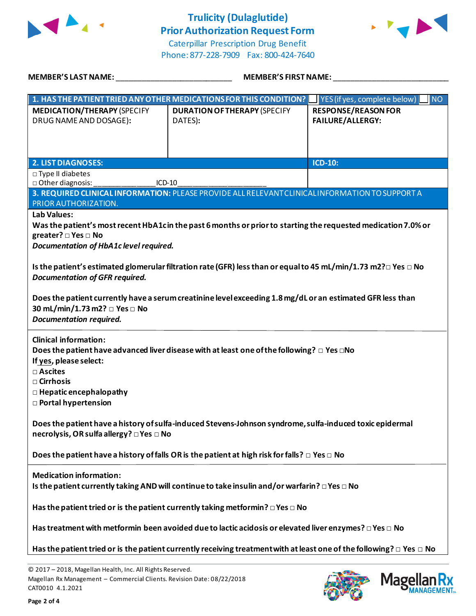



Caterpillar Prescription Drug Benefit Phone: 877-228-7909 Fax: 800-424-7640

| <b>MEMBER'S LAST NAME:</b>                                                                                                                                    | <b>MEMBER'S FIRST NAME:</b>                                                                                                                                                                                                                                                                                                                              |                                                       |  |  |
|---------------------------------------------------------------------------------------------------------------------------------------------------------------|----------------------------------------------------------------------------------------------------------------------------------------------------------------------------------------------------------------------------------------------------------------------------------------------------------------------------------------------------------|-------------------------------------------------------|--|--|
|                                                                                                                                                               | 1. HAS THE PATIENT TRIED ANY OTHER MEDICATIONS FOR THIS CONDITION?                                                                                                                                                                                                                                                                                       | YES (if yes, complete below)<br><b>NO</b>             |  |  |
| <b>MEDICATION/THERAPY (SPECIFY</b><br>DRUG NAME AND DOSAGE):                                                                                                  | <b>DURATION OF THERAPY (SPECIFY</b><br>DATES):                                                                                                                                                                                                                                                                                                           | <b>RESPONSE/REASON FOR</b><br><b>FAILURE/ALLERGY:</b> |  |  |
| <b>2. LIST DIAGNOSES:</b>                                                                                                                                     |                                                                                                                                                                                                                                                                                                                                                          | ICD-10:                                               |  |  |
| $\square$ Type II diabetes<br>□ Other diagnosis:<br>ICD-10                                                                                                    | 3. REQUIRED CLINICAL INFORMATION: PLEASE PROVIDE ALL RELEVANT CLINICAL INFORMATION TO SUPPORT A                                                                                                                                                                                                                                                          |                                                       |  |  |
| PRIOR AUTHORIZATION.                                                                                                                                          |                                                                                                                                                                                                                                                                                                                                                          |                                                       |  |  |
| <b>Lab Values:</b><br>greater? □ Yes □ No<br>Documentation of HbA1c level required.<br><b>Documentation of GFR required.</b><br>30 mL/min/1.73 m2? □ Yes □ No | Was the patient's most recent HbA1cin the past 6 months or prior to starting the requested medication 7.0% or<br>Is the patient's estimated glomerular filtration rate (GFR) less than or equal to 45 mL/min/1.73 m2? $\Box$ Yes $\Box$ No<br>Does the patient currently have a serum creatinine level exceeding 1.8 mg/dL or an estimated GFR less than |                                                       |  |  |
| <b>Clinical information:</b><br>If yes, please select:<br>□ Ascites<br>$\square$ Cirrhosis<br>$\Box$ Hepatic encephalopathy<br><b>D</b> Portal hypertension   | Does the patient have advanced liver disease with at least one of the following? $\Box$ Yes $\Box$ No                                                                                                                                                                                                                                                    |                                                       |  |  |
| necrolysis, OR sulfa allergy? □ Yes □ No                                                                                                                      | Does the patient have a history of sulfa-induced Stevens-Johnson syndrome, sulfa-induced toxic epidermal                                                                                                                                                                                                                                                 |                                                       |  |  |
| Does the patient have a history of falls OR is the patient at high risk for falls? $\Box$ Yes $\Box$ No                                                       |                                                                                                                                                                                                                                                                                                                                                          |                                                       |  |  |
| <b>Medication information:</b>                                                                                                                                | Is the patient currently taking AND will continue to take insulin and/or warfarin? $\Box$ Yes $\Box$ No                                                                                                                                                                                                                                                  |                                                       |  |  |
| Has the patient tried or is the patient currently taking metformin? $\square$ Yes $\square$ No                                                                |                                                                                                                                                                                                                                                                                                                                                          |                                                       |  |  |
|                                                                                                                                                               | Has treatment with metformin been avoided due to lactic acidosis or elevated liver enzymes? $\Box$ Yes $\Box$ No                                                                                                                                                                                                                                         |                                                       |  |  |
|                                                                                                                                                               | Has the patient tried or is the patient currently receiving treatment with at least one of the following? $\Box$ Yes $\Box$ No                                                                                                                                                                                                                           |                                                       |  |  |
| © 2017 - 2018, Magellan Health, Inc. All Rights Reserved.                                                                                                     |                                                                                                                                                                                                                                                                                                                                                          |                                                       |  |  |

Magellan Rx Management – Commercial Clients. Revision Date: 08/22/2018



**Mage** 

Rх **ANAGEMENT**<sub>SM</sub>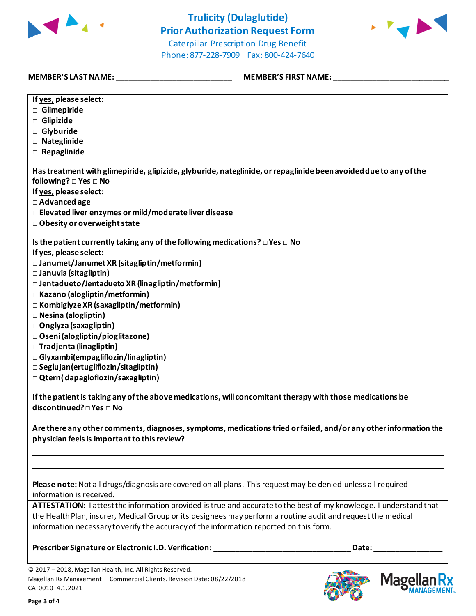



Caterpillar Prescription Drug Benefit Phone: 877-228-7909 Fax: 800-424-7640

**MEMBER'S LAST NAME:** \_\_\_\_\_\_\_\_\_\_\_\_\_\_\_\_\_\_\_\_\_\_\_\_\_\_\_ **MEMBER'S FIRST NAME:** \_\_\_\_\_\_\_\_\_\_\_\_\_\_\_\_\_\_\_\_\_\_\_\_\_\_\_

| If yes, please select:                                                                                                                                                                                                                                                                                                       |
|------------------------------------------------------------------------------------------------------------------------------------------------------------------------------------------------------------------------------------------------------------------------------------------------------------------------------|
| □ Glimepiride                                                                                                                                                                                                                                                                                                                |
| $\Box$ Glipizide                                                                                                                                                                                                                                                                                                             |
| □ Glyburide                                                                                                                                                                                                                                                                                                                  |
| □ Nateglinide                                                                                                                                                                                                                                                                                                                |
| $\Box$ Repaglinide                                                                                                                                                                                                                                                                                                           |
|                                                                                                                                                                                                                                                                                                                              |
| Has treatment with glimepiride, glipizide, glyburide, nateglinide, or repaglinide been avoided due to any of the<br>following? □ Yes □ No                                                                                                                                                                                    |
| If yes, please select:                                                                                                                                                                                                                                                                                                       |
|                                                                                                                                                                                                                                                                                                                              |
| □ Advanced age                                                                                                                                                                                                                                                                                                               |
| □ Elevated liver enzymes or mild/moderate liver disease                                                                                                                                                                                                                                                                      |
| □ Obesity or overweight state                                                                                                                                                                                                                                                                                                |
| Is the patient currently taking any of the following medications? $\square$ Yes $\square$ No                                                                                                                                                                                                                                 |
| If yes, please select:                                                                                                                                                                                                                                                                                                       |
| □ Janumet/Janumet XR (sitagliptin/metformin)                                                                                                                                                                                                                                                                                 |
| □ Januvia (sitagliptin)                                                                                                                                                                                                                                                                                                      |
| □ Jentadueto/Jentadueto XR (linagliptin/metformin)                                                                                                                                                                                                                                                                           |
| □ Kazano (alogliptin/metformin)                                                                                                                                                                                                                                                                                              |
| □ Kombiglyze XR (saxagliptin/metformin)                                                                                                                                                                                                                                                                                      |
| □ Nesina (alogliptin)                                                                                                                                                                                                                                                                                                        |
| $\Box$ Onglyza (saxagliptin)                                                                                                                                                                                                                                                                                                 |
| □ Oseni (alogliptin/pioglitazone)                                                                                                                                                                                                                                                                                            |
| □ Tradjenta (linagliptin)                                                                                                                                                                                                                                                                                                    |
| □ Glyxambi(empagliflozin/linagliptin)                                                                                                                                                                                                                                                                                        |
| $\square$ Seglujan (ertugliflozin/sitagliptin)                                                                                                                                                                                                                                                                               |
| $\Box$ Qtern(dapagloflozin/saxagliptin)                                                                                                                                                                                                                                                                                      |
|                                                                                                                                                                                                                                                                                                                              |
| If the patient is taking any of the above medications, will concomitant therapy with those medications be<br>discontinued? □ Yes □ No                                                                                                                                                                                        |
| Are there any other comments, diagnoses, symptoms, medications tried or failed, and/or any other information the<br>physician feels is important to this review?                                                                                                                                                             |
|                                                                                                                                                                                                                                                                                                                              |
| Please note: Not all drugs/diagnosis are covered on all plans. This request may be denied unless all required<br>information is received.                                                                                                                                                                                    |
| ATTESTATION: I attest the information provided is true and accurate to the best of my knowledge. I understand that<br>the Health Plan, insurer, Medical Group or its designees may perform a routine audit and request the medical<br>information necessary to verify the accuracy of the information reported on this form. |

**Prescriber Signature or Electronic I.D. Verification: \_\_\_\_\_\_\_\_\_\_\_\_\_\_\_\_\_\_\_\_\_\_\_\_\_\_\_\_\_\_\_\_ Date: \_\_\_\_\_\_\_\_\_\_\_\_\_\_\_\_**

© 2017 – 2018, Magellan Health, Inc. All Rights Reserved. Magellan Rx Management – Commercial Clients. Revision Date: 08/22/2018 CAT0010 4.1.2021